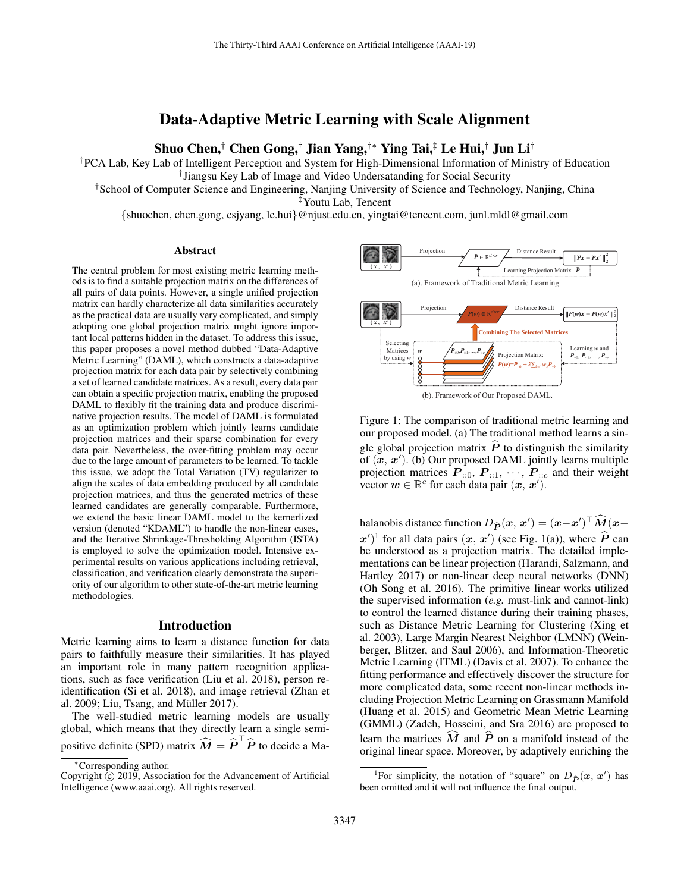# Data-Adaptive Metric Learning with Scale Alignment

## Shuo Chen,† Chen Gong,† Jian Yang,†∗ Ying Tai,‡ Le Hui,† Jun Li†

†PCA Lab, Key Lab of Intelligent Perception and System for High-Dimensional Information of Ministry of Education † Jiangsu Key Lab of Image and Video Undersatanding for Social Security

†School of Computer Science and Engineering, Nanjing University of Science and Technology, Nanjing, China

‡Youtu Lab, Tencent

{shuochen, chen.gong, csjyang, le.hui}@njust.edu.cn, yingtai@tencent.com, junl.mldl@gmail.com

#### Abstract

The central problem for most existing metric learning methods is to find a suitable projection matrix on the differences of all pairs of data points. However, a single unified projection matrix can hardly characterize all data similarities accurately as the practical data are usually very complicated, and simply adopting one global projection matrix might ignore important local patterns hidden in the dataset. To address this issue, this paper proposes a novel method dubbed "Data-Adaptive Metric Learning" (DAML), which constructs a data-adaptive projection matrix for each data pair by selectively combining a set of learned candidate matrices. As a result, every data pair can obtain a specific projection matrix, enabling the proposed DAML to flexibly fit the training data and produce discriminative projection results. The model of DAML is formulated as an optimization problem which jointly learns candidate projection matrices and their sparse combination for every data pair. Nevertheless, the over-fitting problem may occur due to the large amount of parameters to be learned. To tackle this issue, we adopt the Total Variation (TV) regularizer to align the scales of data embedding produced by all candidate projection matrices, and thus the generated metrics of these learned candidates are generally comparable. Furthermore, we extend the basic linear DAML model to the kernerlized version (denoted "KDAML") to handle the non-linear cases, and the Iterative Shrinkage-Thresholding Algorithm (ISTA) is employed to solve the optimization model. Intensive experimental results on various applications including retrieval, classification, and verification clearly demonstrate the superiority of our algorithm to other state-of-the-art metric learning methodologies.

#### Introduction

Metric learning aims to learn a distance function for data pairs to faithfully measure their similarities. It has played an important role in many pattern recognition applications, such as face verification (Liu et al. 2018), person reidentification (Si et al. 2018), and image retrieval (Zhan et al.  $2009$ ; Liu, Tsang, and Müller  $2017$ ).

The well-studied metric learning models are usually global, which means that they directly learn a single semipositive definite (SPD) matrix  $\widehat{M} = \widehat{P}^{\top}\widehat{P}$  to decide a Ma-



Figure 1: The comparison of traditional metric learning and our proposed model. (a) The traditional method learns a single global projection matrix  $\hat{P}$  to distinguish the similarity of  $(x, x')$ . (b) Our proposed DAML jointly learns multiple projection matrices  $P_{::0}$ ,  $P_{::1}$ ,  $\cdots$ ,  $P_{::c}$  and their weight vector  $w \in \mathbb{R}^c$  for each data pair  $(x, x')$ .

halanobis distance function  $D_{\hat{P}}(x, x') = (x-x')^{\top} \hat{M}(x-x)$  $(x^{(1)})(x^{(2)})(x^{(3)})(x^{(4)})(x^{(5)})(x^{(6)})(x^{(7)})(x^{(8)})(x^{(9)})(x^{(9)})(x^{(9)})(x^{(9)})(x^{(9)})(x^{(9)})(x^{(9)})(x^{(9)})(x^{(9)})(x^{(9)})(x^{(9)})(x^{(9)})(x^{(9)})(x^{(9)})(x^{(9)})(x^{(9)})(x^{(9)})(x^{(9)})(x^{(9)})(x^{(9)})(x^{(9)})(x^{(9)})(x^{(9)})(x^{(9)})(x^{(9)})(x^{(9)})(x^{(9)})(x^{(9)})(x^{(9$ be understood as a projection matrix. The detailed implementations can be linear projection (Harandi, Salzmann, and Hartley 2017) or non-linear deep neural networks (DNN) (Oh Song et al. 2016). The primitive linear works utilized the supervised information (*e.g.* must-link and cannot-link) to control the learned distance during their training phases, such as Distance Metric Learning for Clustering (Xing et al. 2003), Large Margin Nearest Neighbor (LMNN) (Weinberger, Blitzer, and Saul 2006), and Information-Theoretic Metric Learning (ITML) (Davis et al. 2007). To enhance the fitting performance and effectively discover the structure for more complicated data, some recent non-linear methods including Projection Metric Learning on Grassmann Manifold (Huang et al. 2015) and Geometric Mean Metric Learning (GMML) (Zadeh, Hosseini, and Sra 2016) are proposed to learn the matrices  $\hat{M}$  and  $\hat{P}$  on a manifold instead of the original linear space. Moreover, by adaptively enriching the

<sup>∗</sup>Corresponding author.

Copyright  $\hat{C}$  2019, Association for the Advancement of Artificial Intelligence (www.aaai.org). All rights reserved.

<sup>&</sup>lt;sup>1</sup>For simplicity, the notation of "square" on  $D_{\hat{P}}(x, x')$  has been omitted and it will not influence the final output.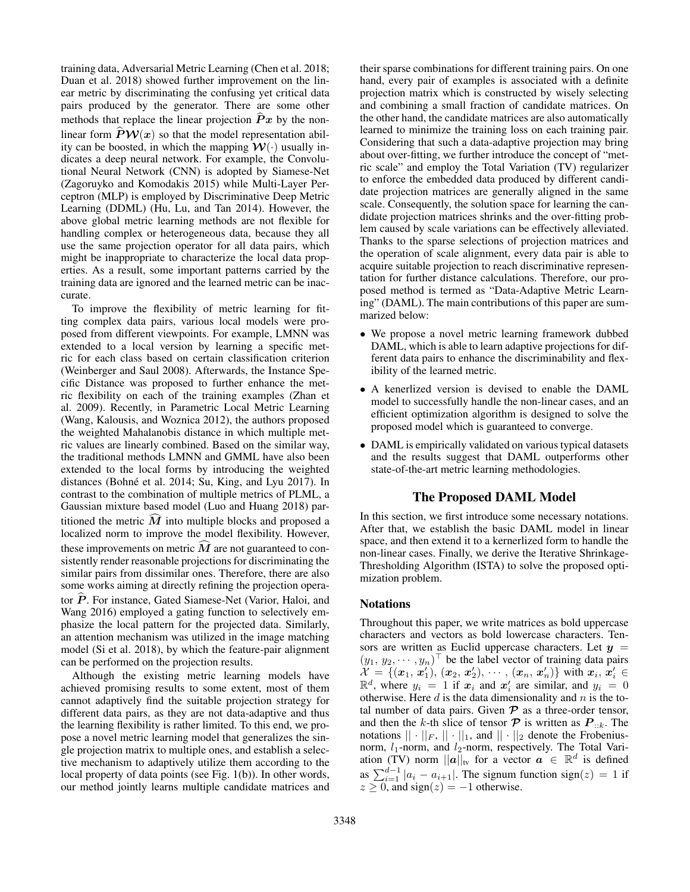training data, Adversarial Metric Learning (Chen et al. 2018; Duan et al. 2018) showed further improvement on the linear metric by discriminating the confusing yet critical data pairs produced by the generator. There are some other methods that replace the linear projection  $\hat{P}x$  by the nonlinear form  $PW(x)$  so that the model representation ability can be boosted, in which the mapping  $W(\cdot)$  usually indicates a deep neural network. For example, the Convolutional Neural Network (CNN) is adopted by Siamese-Net (Zagoruyko and Komodakis 2015) while Multi-Layer Perceptron (MLP) is employed by Discriminative Deep Metric Learning (DDML) (Hu, Lu, and Tan 2014). However, the above global metric learning methods are not flexible for handling complex or heterogeneous data, because they all use the same projection operator for all data pairs, which might be inappropriate to characterize the local data properties. As a result, some important patterns carried by the training data are ignored and the learned metric can be inaccurate.

To improve the flexibility of metric learning for fitting complex data pairs, various local models were proposed from different viewpoints. For example, LMNN was extended to a local version by learning a specific metric for each class based on certain classification criterion (Weinberger and Saul 2008). Afterwards, the Instance Specific Distance was proposed to further enhance the metric flexibility on each of the training examples (Zhan et al. 2009). Recently, in Parametric Local Metric Learning (Wang, Kalousis, and Woznica 2012), the authors proposed the weighted Mahalanobis distance in which multiple metric values are linearly combined. Based on the similar way, the traditional methods LMNN and GMML have also been extended to the local forms by introducing the weighted distances (Bohné et al. 2014; Su, King, and Lyu 2017). In contrast to the combination of multiple metrics of PLML, a Gaussian mixture based model (Luo and Huang 2018) partitioned the metric  $\vec{M}$  into multiple blocks and proposed a localized norm to improve the model flexibility. However, these improvements on metric  $M$  are not guaranteed to consistently render reasonable projections for discriminating the similar pairs from dissimilar ones. Therefore, there are also some works aiming at directly refining the projection operator  $\hat{P}$ . For instance, Gated Siamese-Net (Varior, Haloi, and Wang 2016) employed a gating function to selectively emphasize the local pattern for the projected data. Similarly, an attention mechanism was utilized in the image matching model (Si et al. 2018), by which the feature-pair alignment can be performed on the projection results.

Although the existing metric learning models have achieved promising results to some extent, most of them cannot adaptively find the suitable projection strategy for different data pairs, as they are not data-adaptive and thus the learning flexibility is rather limited. To this end, we propose a novel metric learning model that generalizes the single projection matrix to multiple ones, and establish a selective mechanism to adaptively utilize them according to the local property of data points (see Fig. 1(b)). In other words, our method jointly learns multiple candidate matrices and

their sparse combinations for different training pairs. On one hand, every pair of examples is associated with a definite projection matrix which is constructed by wisely selecting and combining a small fraction of candidate matrices. On the other hand, the candidate matrices are also automatically learned to minimize the training loss on each training pair. Considering that such a data-adaptive projection may bring about over-fitting, we further introduce the concept of "metric scale" and employ the Total Variation (TV) regularizer to enforce the embedded data produced by different candidate projection matrices are generally aligned in the same scale. Consequently, the solution space for learning the candidate projection matrices shrinks and the over-fitting problem caused by scale variations can be effectively alleviated. Thanks to the sparse selections of projection matrices and the operation of scale alignment, every data pair is able to acquire suitable projection to reach discriminative representation for further distance calculations. Therefore, our proposed method is termed as "Data-Adaptive Metric Learning" (DAML). The main contributions of this paper are summarized below:

- We propose a novel metric learning framework dubbed DAML, which is able to learn adaptive projections for different data pairs to enhance the discriminability and flexibility of the learned metric.
- A kenerlized version is devised to enable the DAML model to successfully handle the non-linear cases, and an efficient optimization algorithm is designed to solve the proposed model which is guaranteed to converge.
- DAML is empirically validated on various typical datasets and the results suggest that DAML outperforms other state-of-the-art metric learning methodologies.

### The Proposed DAML Model

In this section, we first introduce some necessary notations. After that, we establish the basic DAML model in linear space, and then extend it to a kernerlized form to handle the non-linear cases. Finally, we derive the Iterative Shrinkage-Thresholding Algorithm (ISTA) to solve the proposed optimization problem.

#### Notations

Throughout this paper, we write matrices as bold uppercase characters and vectors as bold lowercase characters. Tensors are written as Euclid uppercase characters. Let  $y =$  $(y_1, y_2, \dots, y_n)$ <sup>T</sup> be the label vector of training data pairs  $\mathcal{X} = \{(\bm{x}_1, \, \bm{x}'_1), \, (\bm{x}_2, \, \bm{x}'_2), \, \cdots, \, (\bm{x}_n, \, \bm{x}'_n)\} \text{ with } \bm{x}_i, \, \bm{x}'_i \in$  $\mathbb{R}^d$ , where  $y_i = 1$  if  $x_i$  and  $x'_i$  are similar, and  $y_i = 0$ otherwise. Here  $d$  is the data dimensionality and  $n$  is the total number of data pairs. Given  $P$  as a three-order tensor, and then the k-th slice of tensor  $P$  is written as  $P_{::k}$ . The notations  $|| \cdot ||_F$ ,  $|| \cdot ||_1$ , and  $|| \cdot ||_2$  denote the Frobeniusnorm,  $l_1$ -norm, and  $l_2$ -norm, respectively. The Total Variation (TV) norm  $||\mathbf{a}||_{\text{tv}}$  for a vector  $\mathbf{a} \in \mathbb{R}^d$  is defined as  $\sum_{i=1}^{d-1} |a_i - a_{i+1}|$ . The signum function sign(z) = 1 if  $z \ge 0$ , and sign( $z$ ) = -1 otherwise.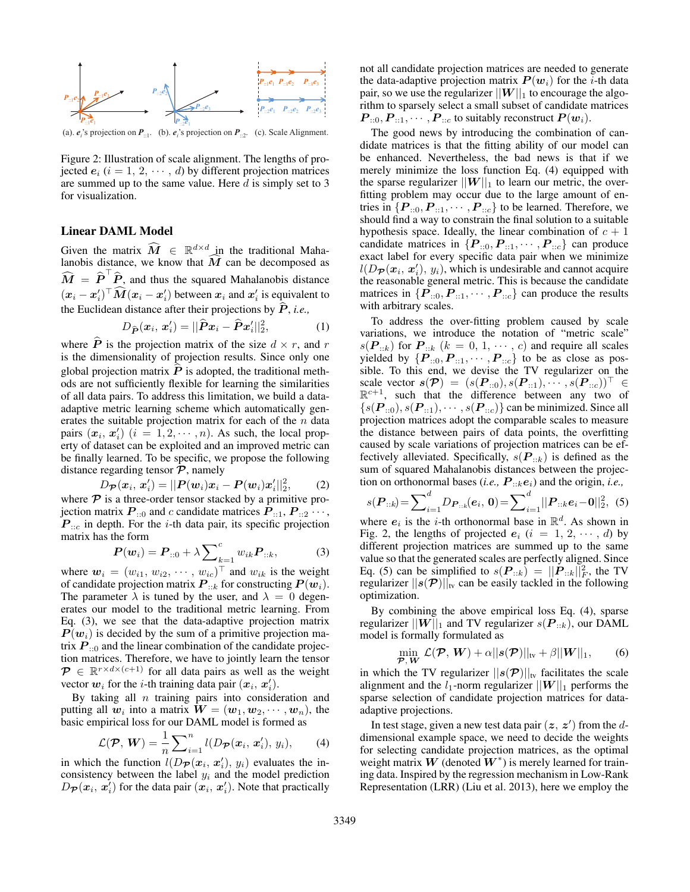

(a).  $e_i$ 's projection on  $P_{::1}$ . (b).  $e_i$ 's projection on  $P_{::2}$ . (c). Scale Alignment.

Figure 2: Illustration of scale alignment. The lengths of projected  $e_i$  ( $i = 1, 2, \dots, d$ ) by different projection matrices are summed up to the same value. Here  $d$  is simply set to 3 for visualization.

#### Linear DAML Model

Given the matrix  $\widehat{M} \in \mathbb{R}^{d \times d}$  in the traditional Mahalanobis distance, we know that M can be decomposed as  $\widehat{M} = \widehat{P}^{\top} \widehat{P}$ , and thus the squared Mahalanobis distance  $(x_i - x'_i)^\top \widehat{M}(x_i - x'_i)$  between  $x_i$  and  $x'_i$  is equivalent to the Euclidean distance after their projections by  $\hat{P}$ , *i.e.*,

$$
D_{\widehat{\boldsymbol{P}}}(\boldsymbol{x}_i, \boldsymbol{x}'_i) = ||\widehat{\boldsymbol{P}} \boldsymbol{x}_i - \widehat{\boldsymbol{P}} \boldsymbol{x}'_i||_2^2, \tag{1}
$$

where  $\hat{P}$  is the projection matrix of the size  $d \times r$ , and r is the dimensionality of projection results. Since only one global projection matrix  $P$  is adopted, the traditional methods are not sufficiently flexible for learning the similarities of all data pairs. To address this limitation, we build a dataadaptive metric learning scheme which automatically generates the suitable projection matrix for each of the  $n$  data pairs  $(x_i, x'_i)$   $(i = 1, 2, \cdots, n)$ . As such, the local property of dataset can be exploited and an improved metric can be finally learned. To be specific, we propose the following distance regarding tensor  $P$ , namely

$$
D_{\boldsymbol{\mathcal{P}}}(\boldsymbol{x}_i, \boldsymbol{x}'_i) = ||\boldsymbol{P}(\boldsymbol{w}_i)\boldsymbol{x}_i - \boldsymbol{P}(\boldsymbol{w}_i)\boldsymbol{x}'_i||_2^2, \qquad (2)
$$

where  $P$  is a three-order tensor stacked by a primitive projection matrix  $P_{::0}$  and c candidate matrices  $P_{::1}$ ,  $P_{::2}$  · · · ,  $P_{\text{H}}$  in depth. For the *i*-th data pair, its specific projection matrix has the form

$$
P(w_i) = P_{::0} + \lambda \sum_{k=1}^{c} w_{ik} P_{::k},
$$
 (3)

where  $w_i = (w_{i1}, w_{i2}, \dots, w_{ic})^\top$  and  $w_{ik}$  is the weight of candidate projection matrix  $P_{\cdot:k}$  for constructing  $P(w_i)$ . The parameter  $\lambda$  is tuned by the user, and  $\lambda = 0$  degenerates our model to the traditional metric learning. From Eq. (3), we see that the data-adaptive projection matrix  $P(w_i)$  is decided by the sum of a primitive projection matrix  $P_{::0}$  and the linear combination of the candidate projection matrices. Therefore, we have to jointly learn the tensor  $P \in \mathbb{R}^{r \times d \times (c+1)}$  for all data pairs as well as the weight vector  $w_i$  for the *i*-th training data pair  $(x_i, x'_i)$ .

By taking all  $n$  training pairs into consideration and putting all  $w_i$  into a matrix  $\boldsymbol{W} = (\boldsymbol{w}_1, \boldsymbol{w}_2, \cdots, \boldsymbol{w}_n)$ , the basic empirical loss for our DAML model is formed as

$$
\mathcal{L}(\mathcal{P}, \mathbf{W}) = \frac{1}{n} \sum_{i=1}^{n} l(D_{\mathcal{P}}(\mathbf{x}_i, \mathbf{x}'_i), y_i), \qquad (4)
$$

in which the function  $l(D_{\mathcal{P}}(x_i, x'_i), y_i)$  evaluates the inconsistency between the label  $y_i$  and the model prediction  $D_{\boldsymbol{\mathcal{P}}}(\boldsymbol{x}_i, \boldsymbol{x}'_i)$  for the data pair  $(\boldsymbol{x}_i, \boldsymbol{x}'_i)$ . Note that practically

not all candidate projection matrices are needed to generate the data-adaptive projection matrix  $P(w_i)$  for the *i*-th data pair, so we use the regularizer  $||W||_1$  to encourage the algorithm to sparsely select a small subset of candidate matrices  $\bm{P}_{::0}, \bm{P}_{::1}, \cdots, \bm{P}_{::c}$  to suitably reconstruct  $\bm{P}(\bm{w}_i)$ .

The good news by introducing the combination of candidate matrices is that the fitting ability of our model can be enhanced. Nevertheless, the bad news is that if we merely minimize the loss function Eq. (4) equipped with the sparse regularizer  $||W||_1$  to learn our metric, the overfitting problem may occur due to the large amount of entries in  $\{P_{::0}, P_{::1}, \cdots, P_{::c}\}$  to be learned. Therefore, we should find a way to constrain the final solution to a suitable hypothesis space. Ideally, the linear combination of  $c + 1$ candidate matrices in  $\{P_{::0}, P_{::1}, \cdots, P_{::c}\}\$ can produce exact label for every specific data pair when we minimize  $l(D_{\boldsymbol{\mathcal{P}}}(\boldsymbol{x}_i, \boldsymbol{x}'_i), y_i)$ , which is undesirable and cannot acquire the reasonable general metric. This is because the candidate matrices in  $\{P_{::0}, P_{::1}, \cdots, P_{::c}\}\$  can produce the results with arbitrary scales.

To address the over-fitting problem caused by scale variations, we introduce the notation of "metric scale"  $s(P_{::k})$  for  $P_{::k}$   $(k = 0, 1, \cdots, c)$  and require all scales yielded by  $\{P_{::0}, P_{::1}, \cdots, P_{::c}\}$  to be as close as possible. To this end, we devise the TV regularizer on the scale vector  $s(\mathcal{P}) = (s(\mathcal{P}_{::0}), s(\mathcal{P}_{::1}), \cdots, s(\mathcal{P}_{::c}))^{\top} \in$  $\mathbb{R}^{c+1}$ , such that the difference between any two of  $\{s(P_{::0}), s(P_{::1}), \cdots, s(P_{::c})\}$  can be minimized. Since all projection matrices adopt the comparable scales to measure the distance between pairs of data points, the overfitting caused by scale variations of projection matrices can be effectively alleviated. Specifically,  $s(P_{::k})$  is defined as the sum of squared Mahalanobis distances between the projection on orthonormal bases (*i.e.*,  $P_{::k}e_i$ ) and the origin, *i.e.*,

$$
s(\boldsymbol{P}_{::k}) = \sum_{i=1}^{d} D_{\boldsymbol{P}_{::k}}(\boldsymbol{e}_i, \, \boldsymbol{0}) = \sum_{i=1}^{d} ||\boldsymbol{P}_{::k}\boldsymbol{e}_i - \boldsymbol{0}||_2^2, \tag{5}
$$

where  $e_i$  is the *i*-th orthonormal base in  $\mathbb{R}^d$ . As shown in Fig. 2, the lengths of projected  $e_i$   $(i = 1, 2, \cdots, d)$  by different projection matrices are summed up to the same value so that the generated scales are perfectly aligned. Since Eq. (5) can be simplified to  $s(P_{::k}) = ||P_{::k}||_F^2$ , the TV regularizer  $||s(\mathcal{P})||_{\text{tv}}$  can be easily tackled in the following optimization.

By combining the above empirical loss Eq. (4), sparse regularizer  $||W||_1$  and TV regularizer  $s(P_{::k})$ , our DAML model is formally formulated as

$$
\min_{\boldsymbol{\mathcal{P}},\boldsymbol{W}}\mathcal{L}(\boldsymbol{\mathcal{P}},\boldsymbol{W})+\alpha||\boldsymbol{s}(\boldsymbol{\mathcal{P}})||_{\text{tv}}+\beta||\boldsymbol{W}||_1,\qquad(6)
$$

in which the TV regularizer  $||s(\mathcal{P})||_{\text{tv}}$  facilitates the scale alignment and the  $l_1$ -norm regularizer  $||W||_1$  performs the sparse selection of candidate projection matrices for dataadaptive projections.

In test stage, given a new test data pair  $(z, z')$  from the ddimensional example space, we need to decide the weights for selecting candidate projection matrices, as the optimal weight matrix  $W$  (denoted  $W^*$ ) is merely learned for training data. Inspired by the regression mechanism in Low-Rank Representation (LRR) (Liu et al. 2013), here we employ the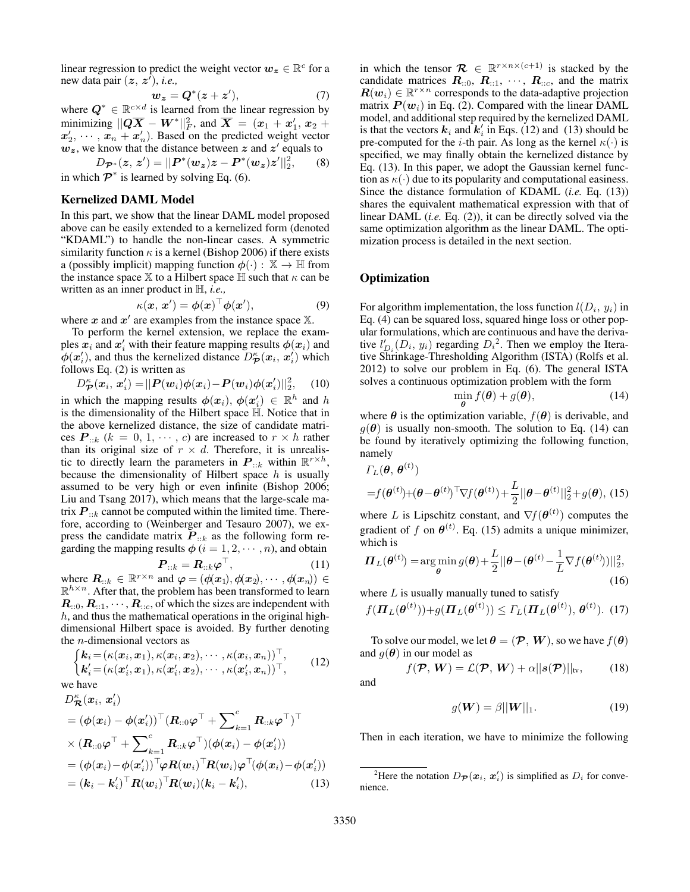linear regression to predict the weight vector  $w_z \in \mathbb{R}^c$  for a new data pair  $(z, z^{\tilde{j}}), i.e.,$ 

$$
w_z = Q^*(z + z'),\tag{7}
$$

where  $Q^* \in \mathbb{R}^{c \times d}$  is learned from the linear regression by minimizing  $||Q\overline{X} - W^*||_F^2$ , and  $\overline{X} = (x_1 + x_1', x_2 +$  $x_2', \dots, x_n + x_n'$ ). Based on the predicted weight vector  $w_z$ , we know that the distance between z and z' equals to

 $D_{\boldsymbol{\mathcal{P}}^{*}}( \boldsymbol{z},\, \boldsymbol{z}^{\prime} ) = || \boldsymbol{P}^{*}(\boldsymbol{w}_{\boldsymbol{z}}) \boldsymbol{z} - \boldsymbol{P}^{*}(\boldsymbol{w}_{\boldsymbol{z}}) \boldsymbol{z}^{\prime} ||_2^2$ , (8) in which  $\mathcal{P}^*$  is learned by solving Eq. (6).

#### Kernelized DAML Model

In this part, we show that the linear DAML model proposed above can be easily extended to a kernelized form (denoted "KDAML") to handle the non-linear cases. A symmetric similarity function  $\kappa$  is a kernel (Bishop 2006) if there exists a (possibly implicit) mapping function  $\phi(\cdot) : \mathbb{X} \to \mathbb{H}$  from the instance space  $X$  to a Hilbert space  $H$  such that  $\kappa$  can be written as an inner product in H, *i.e.,*

$$
\kappa(\mathbf{x}, \mathbf{x}') = \phi(\mathbf{x})^{\top} \phi(\mathbf{x}'), \tag{9}
$$

where  $x$  and  $x'$  are examples from the instance space  $X$ .

To perform the kernel extension, we replace the examples  $x_i$  and  $x_i'$  with their feature mapping results  $\phi(x_i)$  and  $\phi(x'_i)$ , and thus the kernelized distance  $D_{\mathcal{P}}^{\kappa}(x_i, x'_i)$  which follows Eq. (2) is written as

$$
D_{\boldsymbol{\mathcal{P}}}^{\kappa}(\boldsymbol{x}_i, \boldsymbol{x}'_i) = ||\boldsymbol{P}(\boldsymbol{w}_i)\boldsymbol{\phi}(\boldsymbol{x}_i) - \boldsymbol{P}(\boldsymbol{w}_i)\boldsymbol{\phi}(\boldsymbol{x}'_i)||_2^2, \quad (10)
$$

in which the mapping results  $\phi(x_i)$ ,  $\phi(x'_i) \in \mathbb{R}^h$  and h is the dimensionality of the Hilbert space H. Notice that in the above kernelized distance, the size of candidate matrices  $P_{::k}$  ( $k = 0, 1, \cdots, c$ ) are increased to  $r \times h$  rather than its original size of  $r \times d$ . Therefore, it is unrealistic to directly learn the parameters in  $P_{::k}$  within  $\mathbb{R}^{r \times h}$ , because the dimensionality of Hilbert space  $h$  is usually assumed to be very high or even infinite (Bishop 2006; Liu and Tsang 2017), which means that the large-scale matrix  $P_{::k}$  cannot be computed within the limited time. Therefore, according to (Weinberger and Tesauro 2007), we express the candidate matrix  $P_{::k}$  as the following form regarding the mapping results  $\phi$  ( $i = 1, 2, \dots, n$ ), and obtain

$$
\boldsymbol{P}_{::k} = \boldsymbol{R}_{::k} \boldsymbol{\varphi}^{\top}, \tag{11}
$$

where  $\mathbf{R}_{::k} \in \mathbb{R}^{r \times n}$  and  $\boldsymbol{\varphi} = (\boldsymbol{\phi}(\boldsymbol{x}_1), \boldsymbol{\phi}(\boldsymbol{x}_2), \cdots, \boldsymbol{\phi}(\boldsymbol{x}_n)) \in$  $\mathbb{R}^{h \times n}$ . After that, the problem has been transformed to learn  $\mathbf{R}_{::0}, \mathbf{R}_{::1}, \cdots, \mathbf{R}_{::c}$ , of which the sizes are independent with  $h$ , and thus the mathematical operations in the original highdimensional Hilbert space is avoided. By further denoting the n-dimensional vectors as

$$
\begin{cases}\nk_i = (\kappa(\boldsymbol{x}_i, \boldsymbol{x}_1), \kappa(\boldsymbol{x}_i, \boldsymbol{x}_2), \cdots, \kappa(\boldsymbol{x}_i, \boldsymbol{x}_n))^{\top},\\ \nk'_i = (\kappa(\boldsymbol{x}'_i, \boldsymbol{x}_1), \kappa(\boldsymbol{x}'_i, \boldsymbol{x}_2), \cdots, \kappa(\boldsymbol{x}'_i, \boldsymbol{x}_n))^{\top},\n\end{cases} (12)
$$

we have  
\n
$$
D_{\mathcal{R}}^{\kappa}(\boldsymbol{x}_{i}, \boldsymbol{x}_{i}^{\prime})
$$
\n
$$
= (\phi(\boldsymbol{x}_{i}) - \phi(\boldsymbol{x}_{i}^{\prime}))^{\top} (\boldsymbol{R}_{::0} \boldsymbol{\varphi}^{\top} + \sum_{k=1}^{c} \boldsymbol{R}_{::k} \boldsymbol{\varphi}^{\top})^{\top}
$$
\n
$$
\times (\boldsymbol{R}_{::0} \boldsymbol{\varphi}^{\top} + \sum_{k=1}^{c} \boldsymbol{R}_{::k} \boldsymbol{\varphi}^{\top}) (\phi(\boldsymbol{x}_{i}) - \phi(\boldsymbol{x}_{i}^{\prime}))
$$
\n
$$
= (\phi(\boldsymbol{x}_{i}) - \phi(\boldsymbol{x}_{i}^{\prime}))^{\top} \boldsymbol{\varphi} \boldsymbol{R}(\boldsymbol{w}_{i})^{\top} \boldsymbol{R}(\boldsymbol{w}_{i}) \boldsymbol{\varphi}^{\top} (\phi(\boldsymbol{x}_{i}) - \phi(\boldsymbol{x}_{i}^{\prime}))
$$
\n
$$
= (\boldsymbol{k}_{i} - \boldsymbol{k}_{i}^{\prime})^{\top} \boldsymbol{R}(\boldsymbol{w}_{i})^{\top} \boldsymbol{R}(\boldsymbol{w}_{i}) (\boldsymbol{k}_{i} - \boldsymbol{k}_{i}^{\prime}), \qquad (13)
$$

in which the tensor  $\mathcal{R} \in \mathbb{R}^{r \times n \times (c+1)}$  is stacked by the candidate matrices  $\mathbf{R}_{::0}$ ,  $\mathbf{R}_{::1}$ ,  $\cdots$ ,  $\mathbf{R}_{::c}$ , and the matrix  $\mathbf{R}(\mathbf{w}_i) \in \mathbb{R}^{r \times n}$  corresponds to the data-adaptive projection matrix  $P(w_i)$  in Eq. (2). Compared with the linear DAML model, and additional step required by the kernelized DAML is that the vectors  $k_i$  and  $k'_i$  in Eqs. (12) and (13) should be pre-computed for the *i*-th pair. As long as the kernel  $\kappa(\cdot)$  is specified, we may finally obtain the kernelized distance by Eq. (13). In this paper, we adopt the Gaussian kernel function as  $\kappa(\cdot)$  due to its popularity and computational easiness. Since the distance formulation of KDAML (*i.e.* Eq. (13)) shares the equivalent mathematical expression with that of linear DAML (*i.e.* Eq. (2)), it can be directly solved via the same optimization algorithm as the linear DAML. The optimization process is detailed in the next section.

### Optimization

For algorithm implementation, the loss function  $l(D_i, y_i)$  in Eq. (4) can be squared loss, squared hinge loss or other popular formulations, which are continuous and have the derivative  $l'_{D_i}(D_i, y_i)$  regarding  $D_i^2$ . Then we employ the Iterative Shrinkage-Thresholding Algorithm (ISTA) (Rolfs et al. 2012) to solve our problem in Eq. (6). The general ISTA solves a continuous optimization problem with the form

$$
\min_{\boldsymbol{\theta}} f(\boldsymbol{\theta}) + g(\boldsymbol{\theta}), \tag{14}
$$

where  $\theta$  is the optimization variable,  $f(\theta)$  is derivable, and  $g(\theta)$  is usually non-smooth. The solution to Eq. (14) can be found by iteratively optimizing the following function, namely

$$
\Gamma_L(\boldsymbol{\theta}, \boldsymbol{\theta}^{(t)})
$$
  
= $f(\boldsymbol{\theta}^{(t)})+(\boldsymbol{\theta}-\boldsymbol{\theta}^{(t)})^\top \nabla f(\boldsymbol{\theta}^{(t)}) + \frac{L}{2} ||\boldsymbol{\theta}-\boldsymbol{\theta}^{(t)}||_2^2 + g(\boldsymbol{\theta}),$  (15)

where L is Lipschitz constant, and  $\nabla f(\boldsymbol{\theta}^{(t)})$  computes the gradient of f on  $\theta^{(t)}$ . Eq. (15) admits a unique minimizer, which is

$$
\boldsymbol{\Pi}_L(\boldsymbol{\theta}^{(t)}) = \arg\min_{\boldsymbol{\theta}} g(\boldsymbol{\theta}) + \frac{L}{2} ||\boldsymbol{\theta} - (\boldsymbol{\theta}^{(t)} - \frac{1}{L}\nabla f(\boldsymbol{\theta}^{(t)}))||_2^2,
$$
\n(16)

where  $L$  is usually manually tuned to satisfy

$$
f(\boldsymbol{\Pi}_L(\boldsymbol{\theta}^{(t)})) + g(\boldsymbol{\Pi}_L(\boldsymbol{\theta}^{(t)})) \le \Gamma_L(\boldsymbol{\Pi}_L(\boldsymbol{\theta}^{(t)}), \boldsymbol{\theta}^{(t)}).
$$
 (17)

To solve our model, we let  $\theta = (\mathcal{P}, W)$ , so we have  $f(\theta)$ and  $q(\theta)$  in our model as

$$
f(\mathcal{P}, \mathbf{W}) = \mathcal{L}(\mathcal{P}, \mathbf{W}) + \alpha ||\mathbf{s}(\mathcal{P})||_{\text{tv}}, \qquad (18)
$$

an

$$
g(\boldsymbol{W}) = \beta ||\boldsymbol{W}||_1. \tag{19}
$$

Then in each iteration, we have to minimize the following

 $'_{i})$ 

<sup>&</sup>lt;sup>2</sup>Here the notation  $D_{\boldsymbol{\mathcal{P}}}(\boldsymbol{x}_i, \boldsymbol{x}'_i)$  is simplified as  $D_i$  for convenience.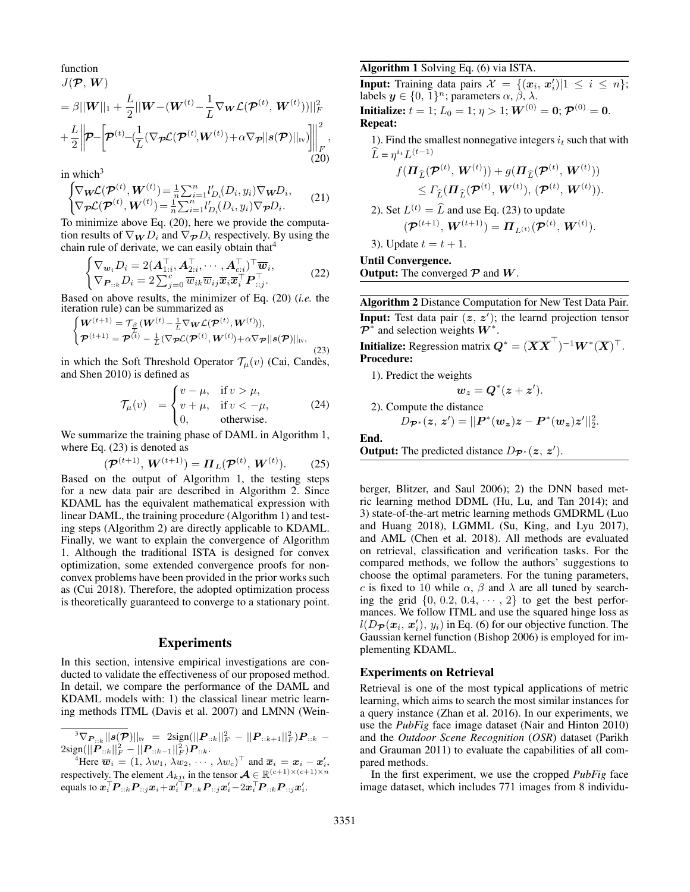function

$$
J(\boldsymbol{\mathcal{P}}, \boldsymbol{W})
$$
  
=  $\beta ||\boldsymbol{W}||_1 + \frac{L}{2} ||\boldsymbol{W} - (\boldsymbol{W}^{(t)} - \frac{1}{L} \nabla_{\boldsymbol{W}} \mathcal{L}(\boldsymbol{\mathcal{P}}^{(t)}, \boldsymbol{W}^{(t)}))||_F^2$   
+  $\frac{L}{2} ||\boldsymbol{\mathcal{P}} - [\boldsymbol{\mathcal{P}}^{(t)} - (\frac{1}{L} (\nabla_{\boldsymbol{\mathcal{P}}} \mathcal{L}(\boldsymbol{\mathcal{P}}^{(t)}, \boldsymbol{W}^{(t)}) + \alpha \nabla_{\boldsymbol{\mathcal{P}}} || s(\boldsymbol{\mathcal{P}})||_W)]||_F^2$   
(20)

in which $3$ 

$$
\begin{cases}\n\nabla_{\mathbf{W}}\mathcal{L}(\mathcal{P}^{(t)}, \mathbf{W}^{(t)}) = \frac{1}{n} \sum_{i=1}^{n} l'_{D_i}(D_i, y_i) \nabla_{\mathbf{W}} D_i, \\
\nabla_{\mathcal{P}}\mathcal{L}(\mathcal{P}^{(t)}, \mathbf{W}^{(t)}) = \frac{1}{n} \sum_{i=1}^{n} l'_{D_i}(D_i, y_i) \nabla_{\mathcal{P}} D_i.\n\end{cases} (21)
$$

To minimize above Eq. (20), here we provide the computation results of  $\nabla_{\boldsymbol{W}} D_i$  and  $\nabla_{\boldsymbol{\mathcal{P}}} D_i$  respectively. By using the chain rule of derivate, we can easily obtain that<sup>4</sup>

$$
\begin{cases} \nabla_{\mathbf{w}_i} D_i = 2(\mathbf{A}_{1:i}^\top, \mathbf{A}_{2:i}^\top, \cdots, \mathbf{A}_{ci}^\top)^\top \overline{\mathbf{w}}_i, \\ \nabla_{\mathbf{P}_{::k}} D_i = 2 \sum_{j=0}^c \overline{w}_{ik} \overline{w}_{ij} \overline{\mathbf{x}}_i \overline{\mathbf{x}}_i^\top \mathbf{P}_{::j}^\top. \end{cases} \tag{22}
$$

Based on above results, the minimizer of Eq. (20) (*i.e.* the iteration rule) can be summarized as

$$
\begin{cases}\n\mathbf{W}^{(t+1)} = \mathcal{T}_{\frac{\beta}{L}}(\mathbf{W}^{(t)} - \frac{1}{L}\nabla_{\mathbf{W}}\mathcal{L}(\mathcal{P}^{(t)}, \mathbf{W}^{(t)})),\\ \n\mathcal{P}^{(t+1)} = \mathcal{P}^{(t)} - \frac{1}{L}(\nabla_{\mathcal{P}}\mathcal{L}(\mathcal{P}^{(t)}, \mathbf{W}^{(t)}) + \alpha \nabla_{\mathcal{P}}||\mathbf{s}(\mathcal{P})||_{\text{IV}},\n\end{cases} (23)
$$

in which the Soft Threshold Operator  $\mathcal{T}_{\mu}(v)$  (Cai, Candès, and Shen 2010) is defined as

$$
\mathcal{T}_{\mu}(v) = \begin{cases} v - \mu, & \text{if } v > \mu, \\ v + \mu, & \text{if } v < -\mu, \\ 0, & \text{otherwise.} \end{cases}
$$
 (24)

We summarize the training phase of DAML in Algorithm 1, where Eq. (23) is denoted as

$$
(\mathcal{P}^{(t+1)}, W^{(t+1)}) = \Pi_L(\mathcal{P}^{(t)}, W^{(t)}).
$$
 (25)

Based on the output of Algorithm 1, the testing steps for a new data pair are described in Algorithm 2. Since KDAML has the equivalent mathematical expression with linear DAML, the training procedure (Algorithm 1) and testing steps (Algorithm 2) are directly applicable to KDAML. Finally, we want to explain the convergence of Algorithm 1. Although the traditional ISTA is designed for convex optimization, some extended convergence proofs for nonconvex problems have been provided in the prior works such as (Cui 2018). Therefore, the adopted optimization process is theoretically guaranteed to converge to a stationary point.

### Experiments

In this section, intensive empirical investigations are conducted to validate the effectiveness of our proposed method. In detail, we compare the performance of the DAML and KDAML models with: 1) the classical linear metric learning methods ITML (Davis et al. 2007) and LMNN (Wein-

 ${}^3\nabla_{\bm{P}_{::k}}||\bm{s}(\bm{\mathcal{P}})||_{\mathrm{tv}}~=~2\mathrm{sign}(||\bm{P}_{::k}||^2_F~-~||\bm{P}_{::k+1}||^2_F)\bm{P}_{::k}~ 2\textrm{sign}(||\bm{P}_{::k}||_F^2-||\bm{P}_{::k-1}||_F^2)\bm{P}_{::k}.$ 

<sup>4</sup>Here  $\overline{w}_i = (1, \lambda w_1, \lambda w_2, \cdots, \lambda w_c)^\top$  and  $\overline{x}_i = x_i - x'_i$ , respectively. The element  $A_{kji}$  in the tensor  $\mathcal{A} \in \mathbb{R}^{(c+1)\times (c+1)\times n}$ equals to  $\boldsymbol{x}_i^\top \boldsymbol{P}_{::k} \boldsymbol{P}_{::j} \boldsymbol{x}_i \!+\! \boldsymbol{x}_i'^\top \boldsymbol{P}_{::k} \boldsymbol{P}_{::j} \boldsymbol{x}_i' \!-\! 2 \boldsymbol{x}_i^\top \boldsymbol{P}_{::k} \boldsymbol{P}_{::j} \boldsymbol{x}_i'.$ 

## Algorithm 1 Solving Eq. (6) via ISTA.

**Input:** Training data pairs  $\mathcal{X} = \{(\boldsymbol{x}_i, \boldsymbol{x}'_i)|1 \leq i \leq n\};$ labels  $y \in \{0, 1\}^n$ ; parameters  $\alpha$ ,  $\beta$ ,  $\lambda$ . Initialize:  $t=1;$   $L_0=1;$   $\eta>1;$   ${\boldsymbol W}^{(0)}={\boldsymbol 0};$   ${\boldsymbol{\mathcal P}}^{(0)}={\boldsymbol 0}.$ Repeat:

1). Find the smallest nonnegative integers  $i_t$  such that with  $\widehat{L} = \eta^{i_t} L^{(t-1)}$ 

$$
f(\boldsymbol{\Pi}_{\widehat{L}}(\boldsymbol{\mathcal{P}}^{(t)},\boldsymbol{W}^{(t)}))+g(\boldsymbol{\Pi}_{\widehat{L}}(\boldsymbol{\mathcal{P}}^{(t)},\boldsymbol{W}^{(t)}))
$$
  

$$
\leq \Gamma_{\widehat{L}}(\boldsymbol{\Pi}_{\widehat{L}}(\boldsymbol{\mathcal{P}}^{(t)},\boldsymbol{W}^{(t)}),(\boldsymbol{\mathcal{P}}^{(t)},\boldsymbol{W}^{(t)})).
$$

2). Set 
$$
L^{(t)} = \hat{L}
$$
 and use Eq. (23) to update  
\n $(\mathcal{P}^{(t+1)}, \mathcal{W}^{(t+1)}) = \mathbf{\Pi}_{L^{(t)}}(\mathcal{P}^{(t)}, \mathcal{W}^{(t)}).$   
\n3). Update  $t = t + 1$ .

Until Convergence.

**Output:** The converged  $\mathcal{P}$  and  $W$ .

| Algorithm 2 Distance Computation for New Test Data Pair.              |  |
|-----------------------------------------------------------------------|--|
| <b>Input:</b> Test data pair $(z, z')$ ; the learnd projection tensor |  |
| $\mathcal{P}^*$ and selection weights $W^*$ .                         |  |

**Initialize:** Regression matrix  $\boldsymbol{Q}^* = (\overline{\boldsymbol{X}} \overline{\boldsymbol{X}}^\top)^{-1} \boldsymbol{W}^* (\overline{\boldsymbol{X}})^\top$ . Procedure:

1). Predict the weights

$$
\boldsymbol{w}_z = \boldsymbol{Q}^*(\boldsymbol{z} + \boldsymbol{z}').
$$

2). Compute the distance  

$$
D_{\mathcal{P}^*}(z, z') = ||P^*(w_z)z - P^*(w_z)z'||_2^2.
$$

End.

**Output:** The predicted distance  $D_{\mathcal{P}^*}(z, z')$ .

berger, Blitzer, and Saul 2006); 2) the DNN based metric learning method DDML (Hu, Lu, and Tan 2014); and 3) state-of-the-art metric learning methods GMDRML (Luo and Huang 2018), LGMML (Su, King, and Lyu 2017), and AML (Chen et al. 2018). All methods are evaluated on retrieval, classification and verification tasks. For the compared methods, we follow the authors' suggestions to choose the optimal parameters. For the tuning parameters, c is fixed to 10 while  $\alpha$ ,  $\beta$  and  $\lambda$  are all tuned by searching the grid  $\{0, 0.2, 0.4, \cdots, 2\}$  to get the best performances. We follow ITML and use the squared hinge loss as  $l(D_{\mathcal{P}}({\bm{x}}_i, {\bm{x}}'_i), y_i)$  in Eq. (6) for our objective function. The Gaussian kernel function (Bishop 2006) is employed for implementing KDAML.

#### Experiments on Retrieval

Retrieval is one of the most typical applications of metric learning, which aims to search the most similar instances for a query instance (Zhan et al. 2016). In our experiments, we use the *PubFig* face image dataset (Nair and Hinton 2010) and the *Outdoor Scene Recognition* (*OSR*) dataset (Parikh and Grauman 2011) to evaluate the capabilities of all compared methods.

In the first experiment, we use the cropped *PubFig* face image dataset, which includes 771 images from 8 individu-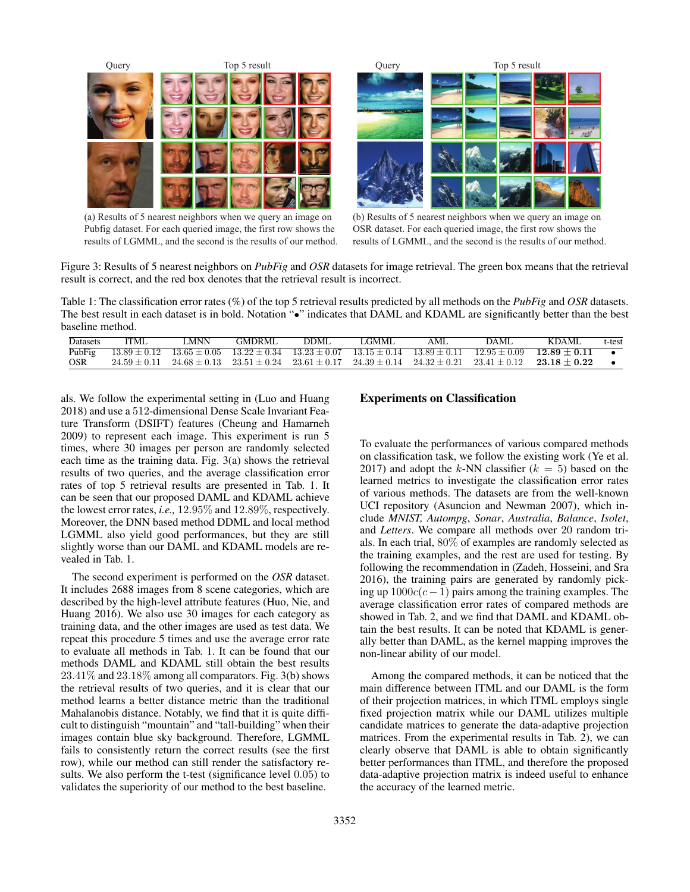

(a) Results of 5 nearest neighbors when we query an image on Pubfig dataset. For each queried image, the first row shows the results of LGMML, and the second is the results of our method.



(b) Results of 5 nearest neighbors when we query an image on OSR dataset. For each queried image, the first row shows the results of LGMML, and the second is the results of our method.

Figure 3: Results of 5 nearest neighbors on *PubFig* and *OSR* datasets for image retrieval. The green box means that the retrieval result is correct, and the red box denotes that the retrieval result is incorrect.

Table 1: The classification error rates (%) of the top 5 retrieval results predicted by all methods on the *PubFig* and *OSR* datasets. The best result in each dataset is in bold. Notation "•" indicates that DAML and KDAML are significantly better than the best baseline method.

| Datasets   | 'TML | MNN | <b>GMDRML</b> | <b>DDML</b> | .GMML | AML | DAML. | KDAML                                                                                                                                   | t-test |
|------------|------|-----|---------------|-------------|-------|-----|-------|-----------------------------------------------------------------------------------------------------------------------------------------|--------|
| PubFig     |      |     |               |             |       |     |       | $13.89 \pm 0.12$ $13.65 \pm 0.05$ $13.22 \pm 0.34$ $13.23 \pm 0.07$ $13.15 \pm 0.14$ $13.89 \pm 0.11$ $12.95 \pm 0.09$ $12.89 \pm 0.11$ |        |
| <b>OSR</b> |      |     |               |             |       |     |       | $24.59 + 0.11$ $24.68 + 0.13$ $23.51 + 0.24$ $23.61 + 0.17$ $24.39 + 0.14$ $24.32 + 0.21$ $23.41 + 0.12$ $23.18 + 0.22$                 |        |

als. We follow the experimental setting in (Luo and Huang 2018) and use a 512-dimensional Dense Scale Invariant Feature Transform (DSIFT) features (Cheung and Hamarneh 2009) to represent each image. This experiment is run 5 times, where 30 images per person are randomly selected each time as the training data. Fig. 3(a) shows the retrieval results of two queries, and the average classification error rates of top 5 retrieval results are presented in Tab. 1. It can be seen that our proposed DAML and KDAML achieve the lowest error rates, *i.e.,* 12.95% and 12.89%, respectively. Moreover, the DNN based method DDML and local method LGMML also yield good performances, but they are still slightly worse than our DAML and KDAML models are revealed in Tab. 1.

The second experiment is performed on the *OSR* dataset. It includes 2688 images from 8 scene categories, which are described by the high-level attribute features (Huo, Nie, and Huang 2016). We also use 30 images for each category as training data, and the other images are used as test data. We repeat this procedure 5 times and use the average error rate to evaluate all methods in Tab. 1. It can be found that our methods DAML and KDAML still obtain the best results 23.41% and 23.18% among all comparators. Fig. 3(b) shows the retrieval results of two queries, and it is clear that our method learns a better distance metric than the traditional Mahalanobis distance. Notably, we find that it is quite difficult to distinguish "mountain" and "tall-building" when their images contain blue sky background. Therefore, LGMML fails to consistently return the correct results (see the first row), while our method can still render the satisfactory results. We also perform the t-test (significance level 0.05) to validates the superiority of our method to the best baseline.

### Experiments on Classification

To evaluate the performances of various compared methods on classification task, we follow the existing work (Ye et al. 2017) and adopt the k-NN classifier  $(k = 5)$  based on the learned metrics to investigate the classification error rates of various methods. The datasets are from the well-known UCI repository (Asuncion and Newman 2007), which include *MNIST, Autompg*, *Sonar*, *Australia*, *Balance*, *Isolet*, and *Letters*. We compare all methods over 20 random trials. In each trial, 80% of examples are randomly selected as the training examples, and the rest are used for testing. By following the recommendation in (Zadeh, Hosseini, and Sra 2016), the training pairs are generated by randomly picking up  $1000c(c - 1)$  pairs among the training examples. The average classification error rates of compared methods are showed in Tab. 2, and we find that DAML and KDAML obtain the best results. It can be noted that KDAML is generally better than DAML, as the kernel mapping improves the non-linear ability of our model.

Among the compared methods, it can be noticed that the main difference between ITML and our DAML is the form of their projection matrices, in which ITML employs single fixed projection matrix while our DAML utilizes multiple candidate matrices to generate the data-adaptive projection matrices. From the experimental results in Tab. 2), we can clearly observe that DAML is able to obtain significantly better performances than ITML, and therefore the proposed data-adaptive projection matrix is indeed useful to enhance the accuracy of the learned metric.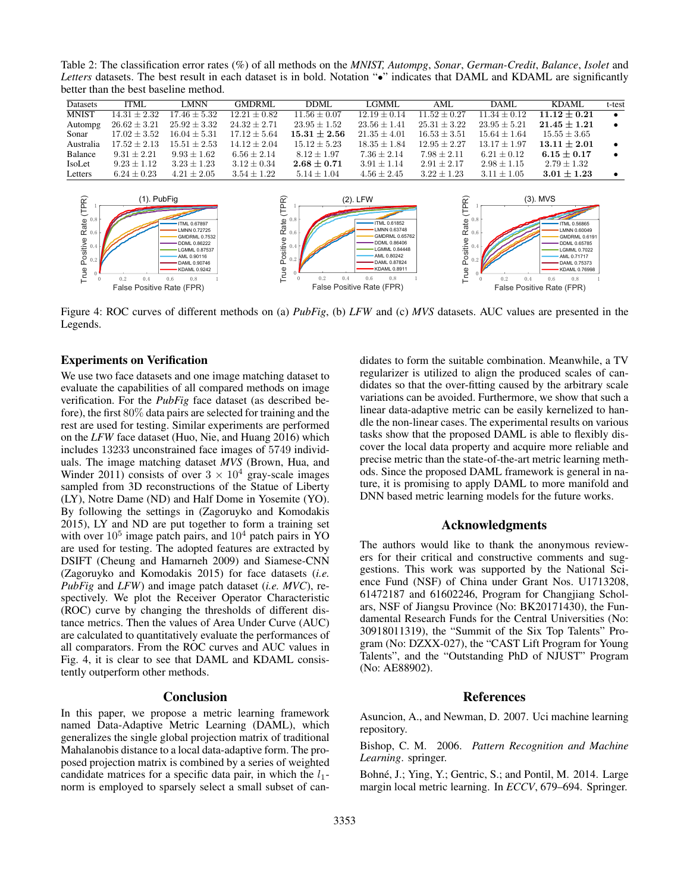Table 2: The classification error rates (%) of all methods on the *MNIST, Autompg*, *Sonar*, *German-Credit*, *Balance*, *Isolet* and *Letters* datasets. The best result in each dataset is in bold. Notation "•" indicates that DAML and KDAML are significantly better than the best baseline method.

| Datasets                                                                           | <b>ITML</b>                  | <b>LMNN</b>                                                                                                                                          | <b>GMDRML</b>    | <b>DDML</b>                                                                                                                                                 | LGMML                                                                                                                                                         | AML                                                                         | <b>DAML</b>      | <b>KDAML</b>                                                                                                                                               | t-test    |
|------------------------------------------------------------------------------------|------------------------------|------------------------------------------------------------------------------------------------------------------------------------------------------|------------------|-------------------------------------------------------------------------------------------------------------------------------------------------------------|---------------------------------------------------------------------------------------------------------------------------------------------------------------|-----------------------------------------------------------------------------|------------------|------------------------------------------------------------------------------------------------------------------------------------------------------------|-----------|
| <b>MNIST</b>                                                                       | $14.31 \pm 2.32$             | $17.46 \pm 5.32$                                                                                                                                     | $12.21 \pm 0.82$ | $11.56 \pm 0.07$                                                                                                                                            | $12.19 \pm 0.14$                                                                                                                                              | $11.52 \pm 0.27$                                                            | $11.34 \pm 0.12$ | $11.12 \pm 0.21$                                                                                                                                           | $\bullet$ |
| Autompg                                                                            | $26.62 \pm 3.21$             | $25.92 \pm 3.32$                                                                                                                                     | $24.32 + 2.71$   | $23.95 \pm 1.52$                                                                                                                                            | $23.56 \pm 1.41$                                                                                                                                              | $25.31 \pm 3.22$                                                            | $23.95 \pm 5.21$ | $21.45 \pm 1.21$                                                                                                                                           | $\bullet$ |
| Sonar                                                                              | $17.02 \pm 3.52$             | $16.04 \pm 5.31$                                                                                                                                     | $17.12 \pm 5.64$ | $15.31 \pm 2.56$                                                                                                                                            | $21.35 \pm 4.01$                                                                                                                                              | $16.53 \pm 3.51$                                                            | $15.64 \pm 1.64$ | $15.55 \pm 3.65$                                                                                                                                           |           |
| Australia                                                                          | $17.52 \pm 2.13$             | $15.51 \pm 2.53$                                                                                                                                     | $14.12 \pm 2.04$ | $15.12 \pm 5.23$                                                                                                                                            | $18.35 \pm 1.84$                                                                                                                                              | $12.95 \pm 2.27$                                                            | $13.17 \pm 1.97$ | $13.11 \pm 2.01$                                                                                                                                           | $\bullet$ |
| <b>Balance</b>                                                                     | $9.31 \pm 2.21$              | $9.93 \pm 1.62$                                                                                                                                      | $6.56 \pm 2.14$  | $8.12 \pm 1.97$                                                                                                                                             | $7.36 \pm 2.14$                                                                                                                                               | $7.98 \pm 2.11$                                                             | $6.21 \pm 0.12$  | $6.15 \pm 0.17$                                                                                                                                            | $\bullet$ |
| IsoLet                                                                             | $9.23 \pm 1.12$              | $3.23 \pm 1.23$                                                                                                                                      | $3.12 \pm 0.34$  | $2.68 \pm 0.71$                                                                                                                                             | $3.91 \pm 1.14$                                                                                                                                               | $2.91 \pm 2.17$                                                             | $2.98 \pm 1.15$  | $2.79 \pm 1.32$                                                                                                                                            |           |
| Letters                                                                            | $6.24 \pm 0.23$              | $4.21 \pm 2.05$                                                                                                                                      | $3.54 \pm 1.22$  | $5.14 \pm 1.04$                                                                                                                                             | $4.56 \pm 2.45$                                                                                                                                               | $3.22 \pm 1.23$                                                             | $3.11 \pm 1.05$  | $3.01 \pm 1.23$                                                                                                                                            | $\bullet$ |
| (TPR)<br>$\begin{bmatrix} \mathbf{R} & 0.8 \\ 0.6 \end{bmatrix}$<br>Positive<br>pp | $(1)$ . PubFig<br>0.2<br>0.4 | ITML 0.67897<br>LMNN 0.72725<br><b>GMDRML 0.7532</b><br>DDML 0.86222<br>· LGMML 0.87537<br>AML 0.90116<br>DAML 0.90746<br>KDAML 0.9242<br>0.8<br>0.6 | (TPR)            | $\begin{bmatrix} 1 & 0.8 \\ 0.6 & 0.6 \end{bmatrix}$<br>$\begin{array}{c}\n\mathbf{Q} \\ \mathbf{Q} \\ \mathbf{Q} \\ 0.2\n\end{array}$<br>eni<br>0.2<br>0.4 | $(2)$ . LFW<br>ITML 0.61852<br>LMNN 0.63748<br>GMDRML 0.65762<br>DDML 0.86406<br>LGMML 0.84448<br>AML 0.80242<br>- DAML 0.87824<br>KDAML 0.8911<br>0.8<br>0.6 | (TPR)<br>$\overset{\text{de}}{\mathbf{R}}$ $_{0.6}^{0.8}$<br>Positive<br>en | 0.2<br>0.4       | $(3)$ . MVS<br>ITML 0.56865<br>LMNN 0.60049<br>GMDRML 0.6191<br>DDML 0.65785<br>LGMML 0.7022<br>AML 0.71717<br>DAML 0.75373<br>KDAML 0.76998<br>0.8<br>0.6 |           |

Figure 4: ROC curves of different methods on (a) *PubFig*, (b) *LFW* and (c) *MVS* datasets. AUC values are presented in the Legends.

0 0.2 0.4 0.6 0.8 1 False Positive Rate (FPR)

## Experiments on Verification

0 0.2 0.4 0.6 0.8 1 False Positive Rate (FPR)

We use two face datasets and one image matching dataset to evaluate the capabilities of all compared methods on image verification. For the *PubFig* face dataset (as described before), the first 80% data pairs are selected for training and the rest are used for testing. Similar experiments are performed on the *LFW* face dataset (Huo, Nie, and Huang 2016) which includes 13233 unconstrained face images of 5749 individuals. The image matching dataset *MVS* (Brown, Hua, and Winder 2011) consists of over  $3 \times 10^4$  gray-scale images sampled from 3D reconstructions of the Statue of Liberty (LY), Notre Dame (ND) and Half Dome in Yosemite (YO). By following the settings in (Zagoruyko and Komodakis 2015), LY and ND are put together to form a training set with over  $10^5$  image patch pairs, and  $10^4$  patch pairs in YO are used for testing. The adopted features are extracted by DSIFT (Cheung and Hamarneh 2009) and Siamese-CNN (Zagoruyko and Komodakis 2015) for face datasets (*i.e. PubFig* and *LFW*) and image patch dataset (*i.e. MVC*), respectively. We plot the Receiver Operator Characteristic (ROC) curve by changing the thresholds of different distance metrics. Then the values of Area Under Curve (AUC) are calculated to quantitatively evaluate the performances of all comparators. From the ROC curves and AUC values in Fig. 4, it is clear to see that DAML and KDAML consistently outperform other methods.

## **Conclusion**

In this paper, we propose a metric learning framework named Data-Adaptive Metric Learning (DAML), which generalizes the single global projection matrix of traditional Mahalanobis distance to a local data-adaptive form. The proposed projection matrix is combined by a series of weighted candidate matrices for a specific data pair, in which the  $l_1$ norm is employed to sparsely select a small subset of candidates to form the suitable combination. Meanwhile, a TV regularizer is utilized to align the produced scales of candidates so that the over-fitting caused by the arbitrary scale variations can be avoided. Furthermore, we show that such a linear data-adaptive metric can be easily kernelized to handle the non-linear cases. The experimental results on various tasks show that the proposed DAML is able to flexibly discover the local data property and acquire more reliable and precise metric than the state-of-the-art metric learning methods. Since the proposed DAML framework is general in nature, it is promising to apply DAML to more manifold and DNN based metric learning models for the future works.

0 0.2 0.4 0.6 0.8 1 False Positive Rate (FPR)

## Acknowledgments

The authors would like to thank the anonymous reviewers for their critical and constructive comments and suggestions. This work was supported by the National Science Fund (NSF) of China under Grant Nos. U1713208, 61472187 and 61602246, Program for Changjiang Scholars, NSF of Jiangsu Province (No: BK20171430), the Fundamental Research Funds for the Central Universities (No: 30918011319), the "Summit of the Six Top Talents" Program (No: DZXX-027), the "CAST Lift Program for Young Talents", and the "Outstanding PhD of NJUST" Program (No: AE88902).

## References

Asuncion, A., and Newman, D. 2007. Uci machine learning repository.

Bishop, C. M. 2006. *Pattern Recognition and Machine Learning*. springer.

Bohné, J.; Ying, Y.; Gentric, S.; and Pontil, M. 2014. Large margin local metric learning. In *ECCV*, 679–694. Springer.